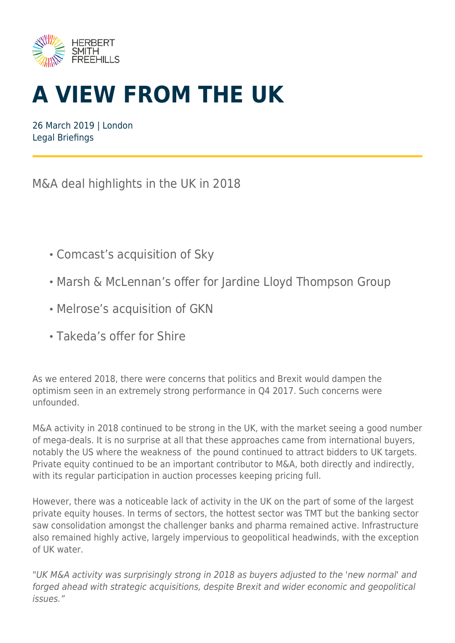

# **A VIEW FROM THE UK**

26 March 2019 | London Legal Briefings

M&A deal highlights in the UK in 2018

- Comcast's acquisition of Sky
- Marsh & McLennan's offer for Jardine Lloyd Thompson Group
- Melrose's acquisition of GKN
- Takeda's offer for Shire

As we entered 2018, there were concerns that politics and Brexit would dampen the optimism seen in an extremely strong performance in Q4 2017. Such concerns were unfounded.

M&A activity in 2018 continued to be strong in the UK, with the market seeing a good number of mega-deals. It is no surprise at all that these approaches came from international buyers, notably the US where the weakness of the pound continued to attract bidders to UK targets. Private equity continued to be an important contributor to M&A, both directly and indirectly, with its regular participation in auction processes keeping pricing full.

However, there was a noticeable lack of activity in the UK on the part of some of the largest private equity houses. In terms of sectors, the hottest sector was TMT but the banking sector saw consolidation amongst the challenger banks and pharma remained active. Infrastructure also remained highly active, largely impervious to geopolitical headwinds, with the exception of UK water.

"UK M&A activity was surprisingly strong in 2018 as buyers adjusted to the 'new normal' and forged ahead with strategic acquisitions, despite Brexit and wider economic and geopolitical issues."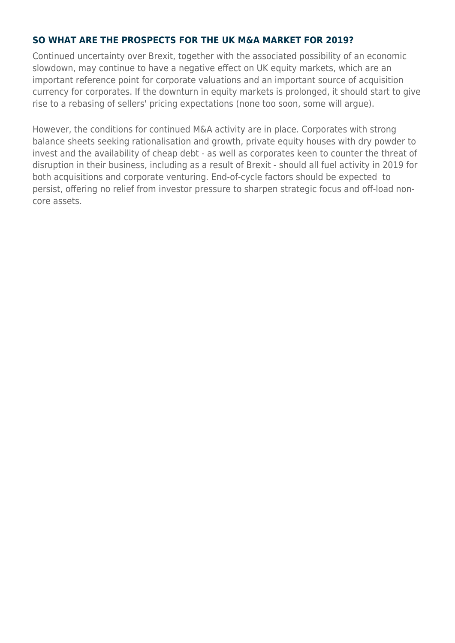#### **SO WHAT ARE THE PROSPECTS FOR THE UK M&A MARKET FOR 2019?**

Continued uncertainty over Brexit, together with the associated possibility of an economic slowdown, may continue to have a negative effect on UK equity markets, which are an important reference point for corporate valuations and an important source of acquisition currency for corporates. If the downturn in equity markets is prolonged, it should start to give rise to a rebasing of sellers' pricing expectations (none too soon, some will argue).

However, the conditions for continued M&A activity are in place. Corporates with strong balance sheets seeking rationalisation and growth, private equity houses with dry powder to invest and the availability of cheap debt - as well as corporates keen to counter the threat of disruption in their business, including as a result of Brexit - should all fuel activity in 2019 for both acquisitions and corporate venturing. End-of-cycle factors should be expected to persist, offering no relief from investor pressure to sharpen strategic focus and off-load noncore assets.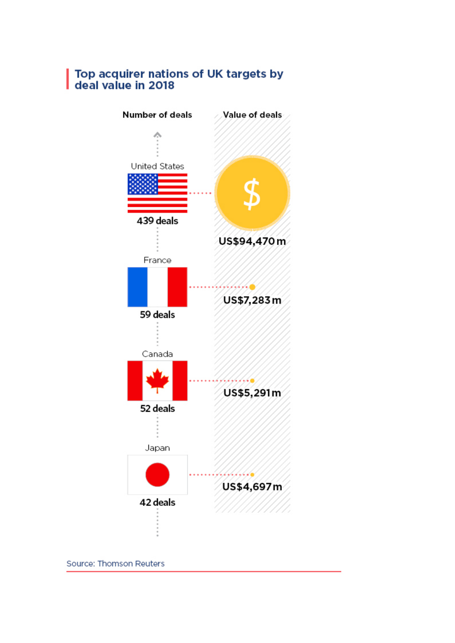## Top acquirer nations of UK targets by<br>deal value in 2018



Source: Thomson Reuters